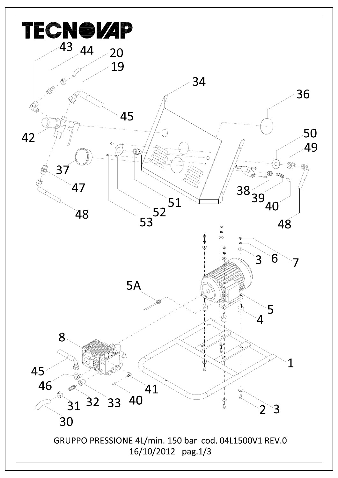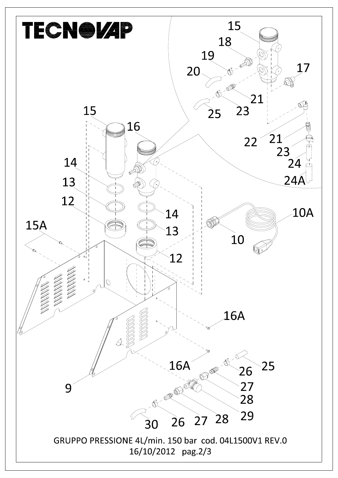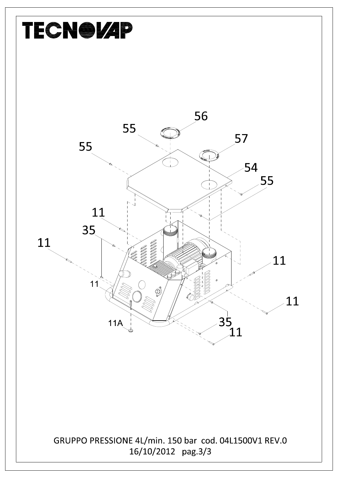